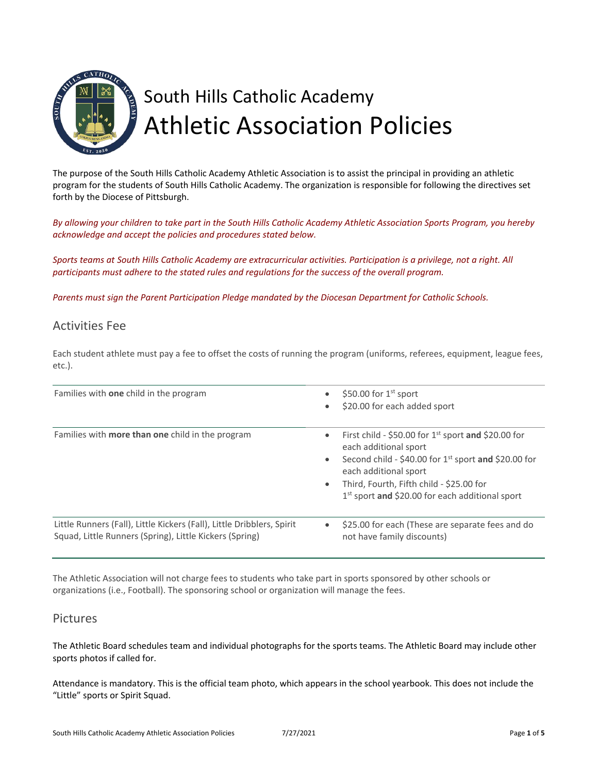

The purpose of the South Hills Catholic Academy Athletic Association is to assist the principal in providing an athletic program for the students of South Hills Catholic Academy. The organization is responsible for following the directives set forth by the Diocese of Pittsburgh.

*By allowing your children to take part in the South Hills Catholic Academy Athletic Association Sports Program, you hereby acknowledge and accept the policies and procedures stated below.*

*Sports teams at South Hills Catholic Academy are extracurricular activities. Participation is a privilege, not a right. All participants must adhere to the stated rules and regulations for the success of the overall program.*

*Parents must sign the Parent Participation Pledge mandated by the Diocesan Department for Catholic Schools.*

### Activities Fee

Each student athlete must pay a fee to offset the costs of running the program (uniforms, referees, equipment, league fees, etc.).

| Families with one child in the program                                                                                            | \$50.00 for $1st$ sport<br>$\bullet$<br>\$20.00 for each added sport<br>$\bullet$                                                                                                                                                                                                                            |
|-----------------------------------------------------------------------------------------------------------------------------------|--------------------------------------------------------------------------------------------------------------------------------------------------------------------------------------------------------------------------------------------------------------------------------------------------------------|
| Families with <b>more than one</b> child in the program                                                                           | First child - \$50.00 for $1^{st}$ sport and \$20.00 for<br>$\bullet$<br>each additional sport<br>Second child - \$40.00 for $1st$ sport and \$20.00 for<br>$\bullet$<br>each additional sport<br>Third. Fourth. Fifth child - \$25.00 for<br>$\bullet$<br>$1st$ sport and \$20.00 for each additional sport |
| Little Runners (Fall), Little Kickers (Fall), Little Dribblers, Spirit<br>Squad, Little Runners (Spring), Little Kickers (Spring) | \$25.00 for each (These are separate fees and do<br>$\bullet$<br>not have family discounts)                                                                                                                                                                                                                  |

The Athletic Association will not charge fees to students who take part in sports sponsored by other schools or organizations (i.e., Football). The sponsoring school or organization will manage the fees.

#### Pictures

The Athletic Board schedules team and individual photographs for the sports teams. The Athletic Board may include other sports photos if called for.

Attendance is mandatory. This is the official team photo, which appears in the school yearbook. This does not include the "Little" sports or Spirit Squad.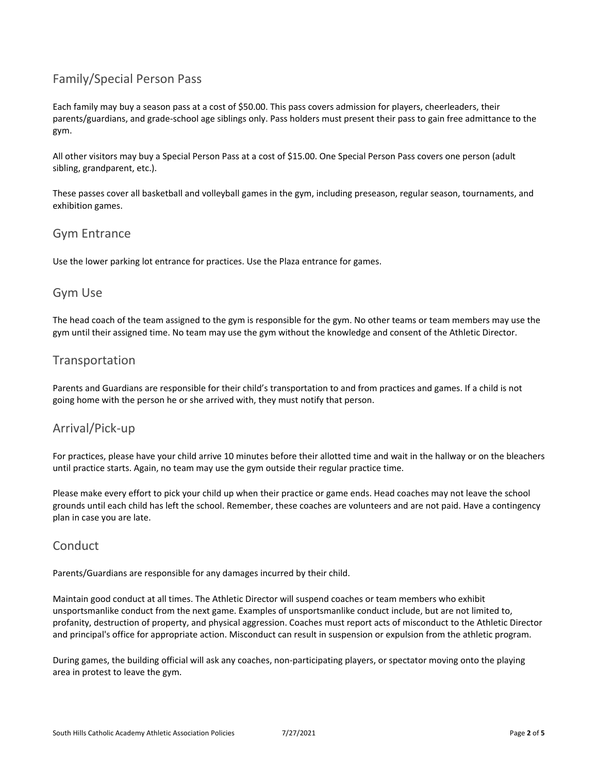# Family/Special Person Pass

Each family may buy a season pass at a cost of \$50.00. This pass covers admission for players, cheerleaders, their parents/guardians, and grade-school age siblings only. Pass holders must present their pass to gain free admittance to the gym.

All other visitors may buy a Special Person Pass at a cost of \$15.00. One Special Person Pass covers one person (adult sibling, grandparent, etc.).

These passes cover all basketball and volleyball games in the gym, including preseason, regular season, tournaments, and exhibition games.

# Gym Entrance

Use the lower parking lot entrance for practices. Use the Plaza entrance for games.

#### Gym Use

The head coach of the team assigned to the gym is responsible for the gym. No other teams or team members may use the gym until their assigned time. No team may use the gym without the knowledge and consent of the Athletic Director.

### Transportation

Parents and Guardians are responsible for their child's transportation to and from practices and games. If a child is not going home with the person he or she arrived with, they must notify that person.

# Arrival/Pick-up

For practices, please have your child arrive 10 minutes before their allotted time and wait in the hallway or on the bleachers until practice starts. Again, no team may use the gym outside their regular practice time.

Please make every effort to pick your child up when their practice or game ends. Head coaches may not leave the school grounds until each child has left the school. Remember, these coaches are volunteers and are not paid. Have a contingency plan in case you are late.

#### **Conduct**

Parents/Guardians are responsible for any damages incurred by their child.

Maintain good conduct at all times. The Athletic Director will suspend coaches or team members who exhibit unsportsmanlike conduct from the next game. Examples of unsportsmanlike conduct include, but are not limited to, profanity, destruction of property, and physical aggression. Coaches must report acts of misconduct to the Athletic Director and principal's office for appropriate action. Misconduct can result in suspension or expulsion from the athletic program.

During games, the building official will ask any coaches, non-participating players, or spectator moving onto the playing area in protest to leave the gym.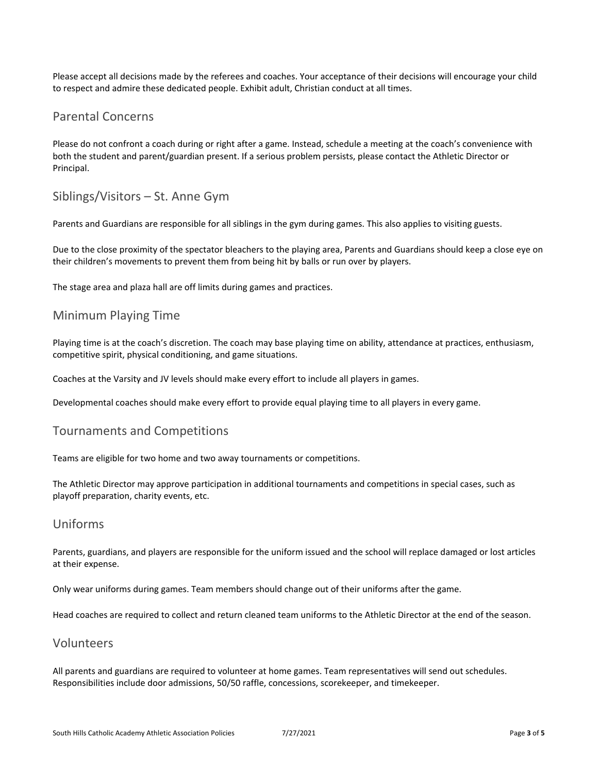Please accept all decisions made by the referees and coaches. Your acceptance of their decisions will encourage your child to respect and admire these dedicated people. Exhibit adult, Christian conduct at all times.

### Parental Concerns

Please do not confront a coach during or right after a game. Instead, schedule a meeting at the coach's convenience with both the student and parent/guardian present. If a serious problem persists, please contact the Athletic Director or Principal.

### Siblings/Visitors – St. Anne Gym

Parents and Guardians are responsible for all siblings in the gym during games. This also applies to visiting guests.

Due to the close proximity of the spectator bleachers to the playing area, Parents and Guardians should keep a close eye on their children's movements to prevent them from being hit by balls or run over by players.

The stage area and plaza hall are off limits during games and practices.

### Minimum Playing Time

Playing time is at the coach's discretion. The coach may base playing time on ability, attendance at practices, enthusiasm, competitive spirit, physical conditioning, and game situations.

Coaches at the Varsity and JV levels should make every effort to include all players in games.

Developmental coaches should make every effort to provide equal playing time to all players in every game.

# Tournaments and Competitions

Teams are eligible for two home and two away tournaments or competitions.

The Athletic Director may approve participation in additional tournaments and competitions in special cases, such as playoff preparation, charity events, etc.

### Uniforms

Parents, guardians, and players are responsible for the uniform issued and the school will replace damaged or lost articles at their expense.

Only wear uniforms during games. Team members should change out of their uniforms after the game.

Head coaches are required to collect and return cleaned team uniforms to the Athletic Director at the end of the season.

#### Volunteers

All parents and guardians are required to volunteer at home games. Team representatives will send out schedules. Responsibilities include door admissions, 50/50 raffle, concessions, scorekeeper, and timekeeper.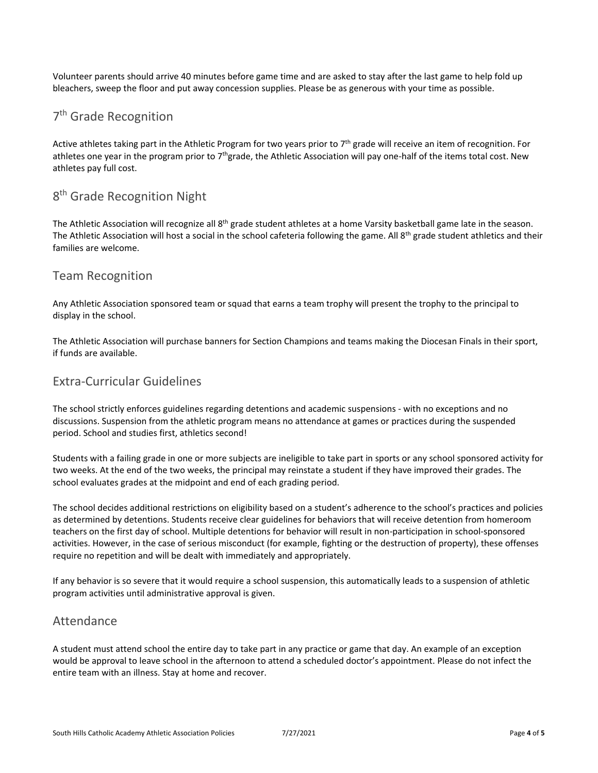Volunteer parents should arrive 40 minutes before game time and are asked to stay after the last game to help fold up bleachers, sweep the floor and put away concession supplies. Please be as generous with your time as possible.

# 7<sup>th</sup> Grade Recognition

Active athletes taking part in the Athletic Program for two years prior to  $7<sup>th</sup>$  grade will receive an item of recognition. For athletes one year in the program prior to  $7<sup>th</sup>$ grade, the Athletic Association will pay one-half of the items total cost. New athletes pay full cost.

# 8<sup>th</sup> Grade Recognition Night

The Athletic Association will recognize all 8<sup>th</sup> grade student athletes at a home Varsity basketball game late in the season. The Athletic Association will host a social in the school cafeteria following the game. All 8<sup>th</sup> grade student athletics and their families are welcome.

# Team Recognition

Any Athletic Association sponsored team or squad that earns a team trophy will present the trophy to the principal to display in the school.

The Athletic Association will purchase banners for Section Champions and teams making the Diocesan Finals in their sport, if funds are available.

# Extra-Curricular Guidelines

The school strictly enforces guidelines regarding detentions and academic suspensions - with no exceptions and no discussions. Suspension from the athletic program means no attendance at games or practices during the suspended period. School and studies first, athletics second!

Students with a failing grade in one or more subjects are ineligible to take part in sports or any school sponsored activity for two weeks. At the end of the two weeks, the principal may reinstate a student if they have improved their grades. The school evaluates grades at the midpoint and end of each grading period.

The school decides additional restrictions on eligibility based on a student's adherence to the school's practices and policies as determined by detentions. Students receive clear guidelines for behaviors that will receive detention from homeroom teachers on the first day of school. Multiple detentions for behavior will result in non-participation in school-sponsored activities. However, in the case of serious misconduct (for example, fighting or the destruction of property), these offenses require no repetition and will be dealt with immediately and appropriately.

If any behavior is so severe that it would require a school suspension, this automatically leads to a suspension of athletic program activities until administrative approval is given.

# Attendance

A student must attend school the entire day to take part in any practice or game that day. An example of an exception would be approval to leave school in the afternoon to attend a scheduled doctor's appointment. Please do not infect the entire team with an illness. Stay at home and recover.